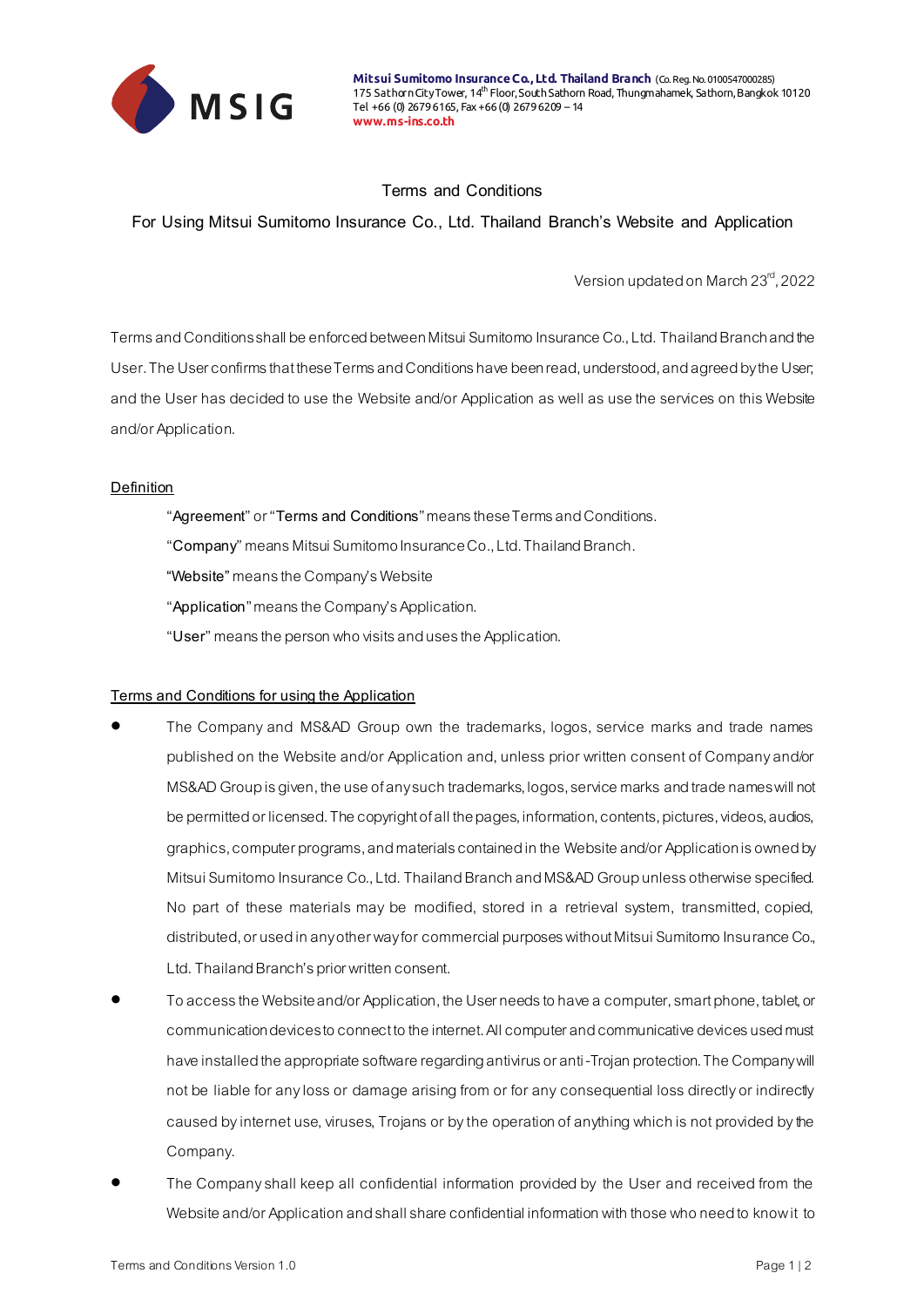

**Mitsui Sumitomo Insurance Co., Ltd. Thailand Branch** (Co. Reg. No. 0100547000285) 175 Sathorn City Tower, 14<sup>th</sup> Floor, South Sathorn Road, Thungmahamek, Sathorn, Bangkok 10120 Tel +66 (0) 2679 6165, Fax +66 (0) 2679 6209 – 14 **www.ms-ins.co.th**

## **Terms and Conditions**

**For Using Mitsui Sumitomo Insurance Co., Ltd. Thailand Branch's Website and Application**

Version updated on March 23<sup>rd</sup>, 2022

Terms and Conditions shall be enforced between Mitsui Sumitomo Insurance Co., Ltd. Thailand Branch and the User. The User confirms that these Terms and Conditions have been read, understood, and agreed by the User; and the User has decided to use the Website and/or Application as well as use the services on this Website and/or Application.

## **Definition**

- "**Agreement**" or "**Terms and Conditions**" means these Terms and Conditions.
- "**Company**" means Mitsui Sumitomo Insurance Co., Ltd. Thailand Branch.
- **"Website"**means the Company's Website
- "**Application**" means the Company's Application.
- "**User**" means the person who visits and uses the Application.

## **Terms and Conditions for using the Application**

- The Company and MS&AD Group own the trademarks, logos, service marks and trade names published on the Website and/or Application and, unless prior written consent of Company and/or MS&AD Group is given, the use of any such trademarks, logos, service marks and trade names will not be permitted or licensed. The copyright of all the pages, information, contents, pictures, videos, audios, graphics, computer programs, and materials contained in the Website and/or Application is owned by Mitsui Sumitomo Insurance Co., Ltd. Thailand Branch and MS&AD Group unless otherwise specified. No part of these materials may be modified, stored in a retrieval system, transmitted, copied, distributed, or used in any other way for commercial purposes without Mitsui Sumitomo Insurance Co., Ltd. Thailand Branch's prior written consent.
- To access the Website and/or Application, the User needs to have a computer, smart phone, tablet, or communication devices to connect to the internet. All computer and communicative devices used must have installed the appropriate software regarding antivirus or anti-Trojan protection. The Company will not be liable for any loss or damage arising from or for any consequential loss directly or indirectly caused by internet use, viruses, Trojans or by the operation of anything which is not provided by the Company.
- The Company shall keep all confidential information provided by the User and received from the Website and/or Application and shall share confidential information with those who need to know it to